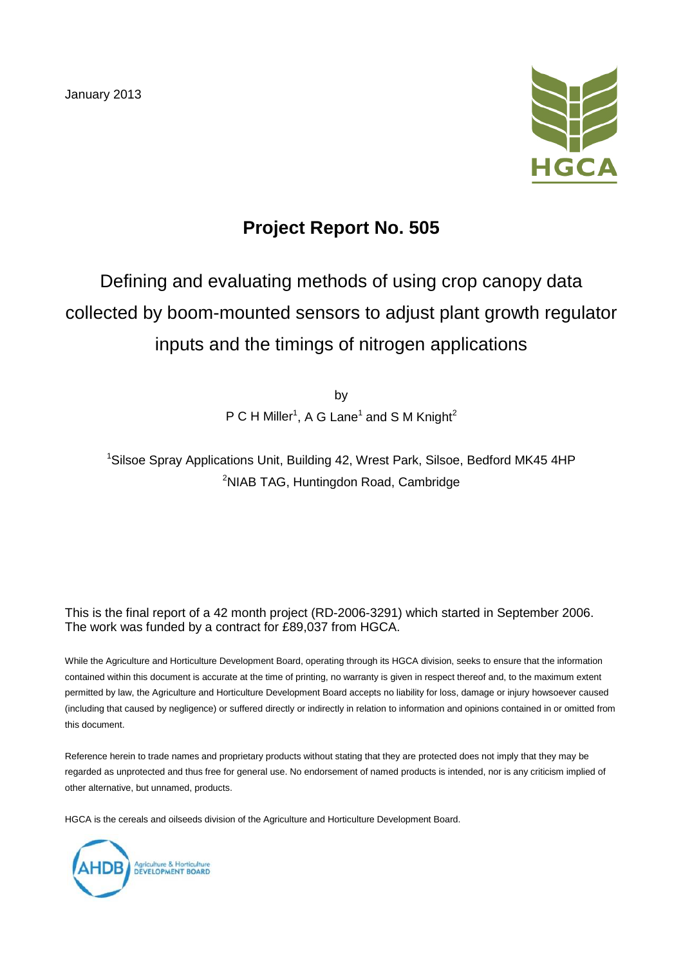January 2013



# **Project Report No. 505**

# Defining and evaluating methods of using crop canopy data collected by boom-mounted sensors to adjust plant growth regulator inputs and the timings of nitrogen applications

by  $P C H$  Miller<sup>1</sup>, A G Lane<sup>1</sup> and S M Knight<sup>2</sup>

<sup>1</sup>Silsoe Spray Applications Unit, Building 42, Wrest Park, Silsoe, Bedford MK45 4HP <sup>2</sup>NIAB TAG, Huntingdon Road, Cambridge

This is the final report of a 42 month project (RD-2006-3291) which started in September 2006. The work was funded by a contract for £89,037 from HGCA.

While the Agriculture and Horticulture Development Board, operating through its HGCA division, seeks to ensure that the information contained within this document is accurate at the time of printing, no warranty is given in respect thereof and, to the maximum extent permitted by law, the Agriculture and Horticulture Development Board accepts no liability for loss, damage or injury howsoever caused (including that caused by negligence) or suffered directly or indirectly in relation to information and opinions contained in or omitted from this document.

Reference herein to trade names and proprietary products without stating that they are protected does not imply that they may be regarded as unprotected and thus free for general use. No endorsement of named products is intended, nor is any criticism implied of other alternative, but unnamed, products.

HGCA is the cereals and oilseeds division of the Agriculture and Horticulture Development Board.

Agriculture & Horticulture<br>DEVELOPMENT BOARD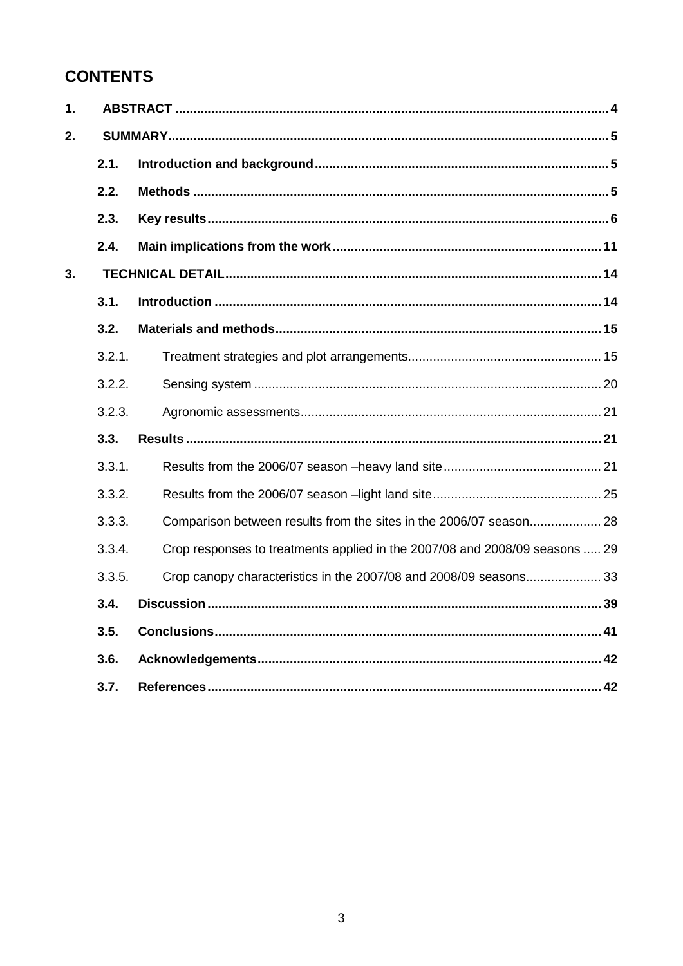# **CONTENTS**

| 1. |        |                                                                             |
|----|--------|-----------------------------------------------------------------------------|
| 2. |        |                                                                             |
|    | 2.1.   |                                                                             |
|    | 2.2.   |                                                                             |
|    | 2.3.   |                                                                             |
|    | 2.4.   |                                                                             |
| 3. |        |                                                                             |
|    | 3.1.   |                                                                             |
|    | 3.2.   |                                                                             |
|    | 3.2.1. |                                                                             |
|    | 3.2.2. |                                                                             |
|    | 3.2.3. |                                                                             |
|    | 3.3.   |                                                                             |
|    | 3.3.1. |                                                                             |
|    | 3.3.2. |                                                                             |
|    | 3.3.3. | Comparison between results from the sites in the 2006/07 season 28          |
|    | 3.3.4. | Crop responses to treatments applied in the 2007/08 and 2008/09 seasons  29 |
|    | 3.3.5. | Crop canopy characteristics in the 2007/08 and 2008/09 seasons 33           |
|    | 3.4.   |                                                                             |
|    | 3.5.   |                                                                             |
|    | 3.6.   |                                                                             |
|    | 3.7.   |                                                                             |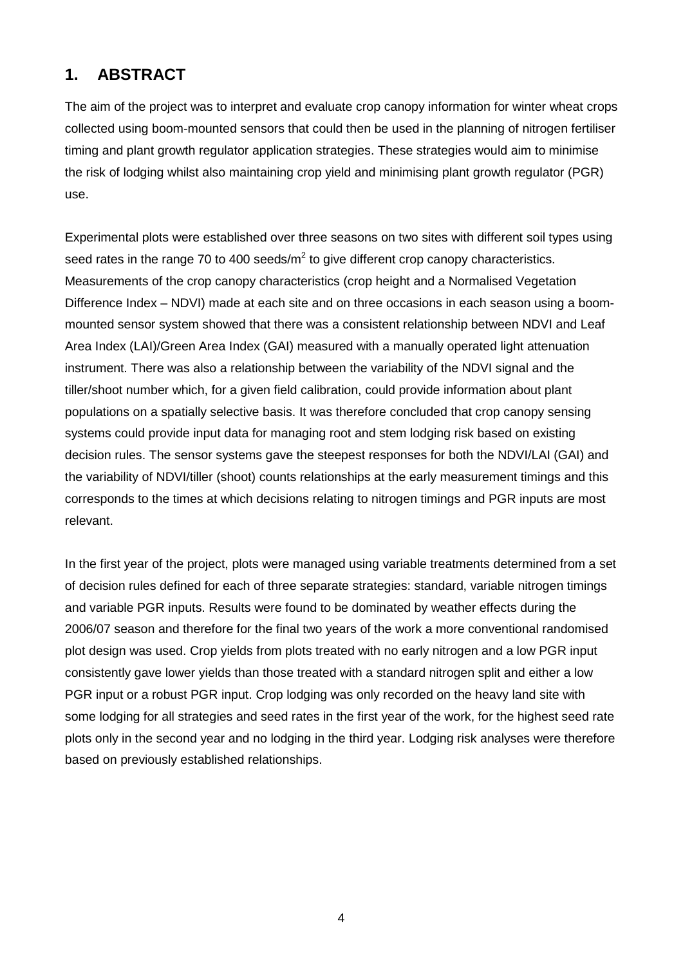## **1. ABSTRACT**

The aim of the project was to interpret and evaluate crop canopy information for winter wheat crops collected using boom-mounted sensors that could then be used in the planning of nitrogen fertiliser timing and plant growth regulator application strategies. These strategies would aim to minimise the risk of lodging whilst also maintaining crop yield and minimising plant growth regulator (PGR) use.

Experimental plots were established over three seasons on two sites with different soil types using seed rates in the range 70 to 400 seeds/ $m^2$  to give different crop canopy characteristics. Measurements of the crop canopy characteristics (crop height and a Normalised Vegetation Difference Index – NDVI) made at each site and on three occasions in each season using a boommounted sensor system showed that there was a consistent relationship between NDVI and Leaf Area Index (LAI)/Green Area Index (GAI) measured with a manually operated light attenuation instrument. There was also a relationship between the variability of the NDVI signal and the tiller/shoot number which, for a given field calibration, could provide information about plant populations on a spatially selective basis. It was therefore concluded that crop canopy sensing systems could provide input data for managing root and stem lodging risk based on existing decision rules. The sensor systems gave the steepest responses for both the NDVI/LAI (GAI) and the variability of NDVI/tiller (shoot) counts relationships at the early measurement timings and this corresponds to the times at which decisions relating to nitrogen timings and PGR inputs are most relevant.

In the first year of the project, plots were managed using variable treatments determined from a set of decision rules defined for each of three separate strategies: standard, variable nitrogen timings and variable PGR inputs. Results were found to be dominated by weather effects during the 2006/07 season and therefore for the final two years of the work a more conventional randomised plot design was used. Crop yields from plots treated with no early nitrogen and a low PGR input consistently gave lower yields than those treated with a standard nitrogen split and either a low PGR input or a robust PGR input. Crop lodging was only recorded on the heavy land site with some lodging for all strategies and seed rates in the first year of the work, for the highest seed rate plots only in the second year and no lodging in the third year. Lodging risk analyses were therefore based on previously established relationships.

4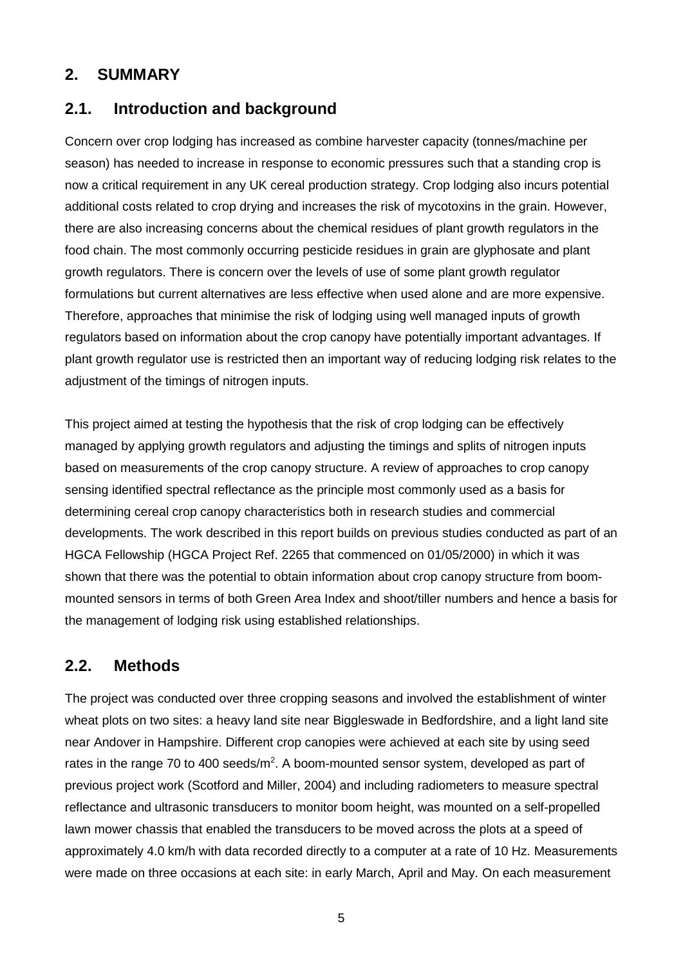#### **2. SUMMARY**

#### **2.1. Introduction and background**

Concern over crop lodging has increased as combine harvester capacity (tonnes/machine per season) has needed to increase in response to economic pressures such that a standing crop is now a critical requirement in any UK cereal production strategy. Crop lodging also incurs potential additional costs related to crop drying and increases the risk of mycotoxins in the grain. However, there are also increasing concerns about the chemical residues of plant growth regulators in the food chain. The most commonly occurring pesticide residues in grain are glyphosate and plant growth regulators. There is concern over the levels of use of some plant growth regulator formulations but current alternatives are less effective when used alone and are more expensive. Therefore, approaches that minimise the risk of lodging using well managed inputs of growth regulators based on information about the crop canopy have potentially important advantages. If plant growth regulator use is restricted then an important way of reducing lodging risk relates to the adjustment of the timings of nitrogen inputs.

This project aimed at testing the hypothesis that the risk of crop lodging can be effectively managed by applying growth regulators and adjusting the timings and splits of nitrogen inputs based on measurements of the crop canopy structure. A review of approaches to crop canopy sensing identified spectral reflectance as the principle most commonly used as a basis for determining cereal crop canopy characteristics both in research studies and commercial developments. The work described in this report builds on previous studies conducted as part of an HGCA Fellowship (HGCA Project Ref. 2265 that commenced on 01/05/2000) in which it was shown that there was the potential to obtain information about crop canopy structure from boommounted sensors in terms of both Green Area Index and shoot/tiller numbers and hence a basis for the management of lodging risk using established relationships.

#### **2.2. Methods**

The project was conducted over three cropping seasons and involved the establishment of winter wheat plots on two sites: a heavy land site near Biggleswade in Bedfordshire, and a light land site near Andover in Hampshire. Different crop canopies were achieved at each site by using seed rates in the range 70 to 400 seeds/ $m^2$ . A boom-mounted sensor system, developed as part of previous project work (Scotford and Miller, 2004) and including radiometers to measure spectral reflectance and ultrasonic transducers to monitor boom height, was mounted on a self-propelled lawn mower chassis that enabled the transducers to be moved across the plots at a speed of approximately 4.0 km/h with data recorded directly to a computer at a rate of 10 Hz. Measurements were made on three occasions at each site: in early March, April and May. On each measurement

5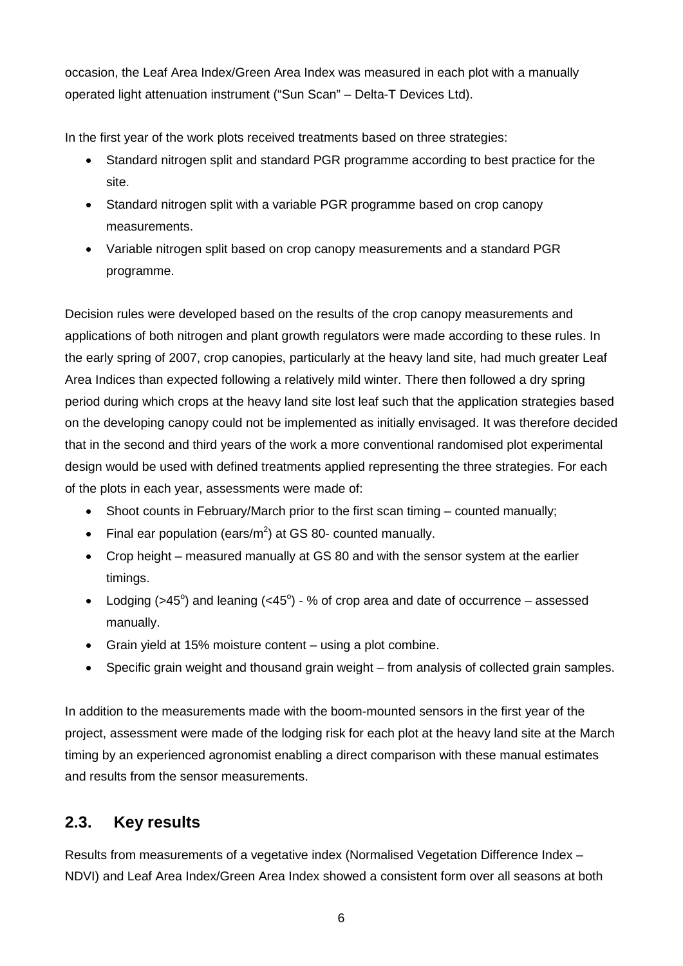occasion, the Leaf Area Index/Green Area Index was measured in each plot with a manually operated light attenuation instrument ("Sun Scan" – Delta-T Devices Ltd).

In the first year of the work plots received treatments based on three strategies:

- Standard nitrogen split and standard PGR programme according to best practice for the site.
- Standard nitrogen split with a variable PGR programme based on crop canopy measurements.
- Variable nitrogen split based on crop canopy measurements and a standard PGR programme.

Decision rules were developed based on the results of the crop canopy measurements and applications of both nitrogen and plant growth regulators were made according to these rules. In the early spring of 2007, crop canopies, particularly at the heavy land site, had much greater Leaf Area Indices than expected following a relatively mild winter. There then followed a dry spring period during which crops at the heavy land site lost leaf such that the application strategies based on the developing canopy could not be implemented as initially envisaged. It was therefore decided that in the second and third years of the work a more conventional randomised plot experimental design would be used with defined treatments applied representing the three strategies. For each of the plots in each year, assessments were made of:

- Shoot counts in February/March prior to the first scan timing counted manually;
- Final ear population (ears/ $m^2$ ) at GS 80- counted manually.
- Crop height measured manually at GS 80 and with the sensor system at the earlier timings.
- Lodging  $($ >45 $^{\circ}$ ) and leaning  $($ <45 $^{\circ}$ ) % of crop area and date of occurrence assessed manually.
- Grain yield at 15% moisture content using a plot combine.
- Specific grain weight and thousand grain weight from analysis of collected grain samples.

In addition to the measurements made with the boom-mounted sensors in the first year of the project, assessment were made of the lodging risk for each plot at the heavy land site at the March timing by an experienced agronomist enabling a direct comparison with these manual estimates and results from the sensor measurements.

## **2.3. Key results**

Results from measurements of a vegetative index (Normalised Vegetation Difference Index – NDVI) and Leaf Area Index/Green Area Index showed a consistent form over all seasons at both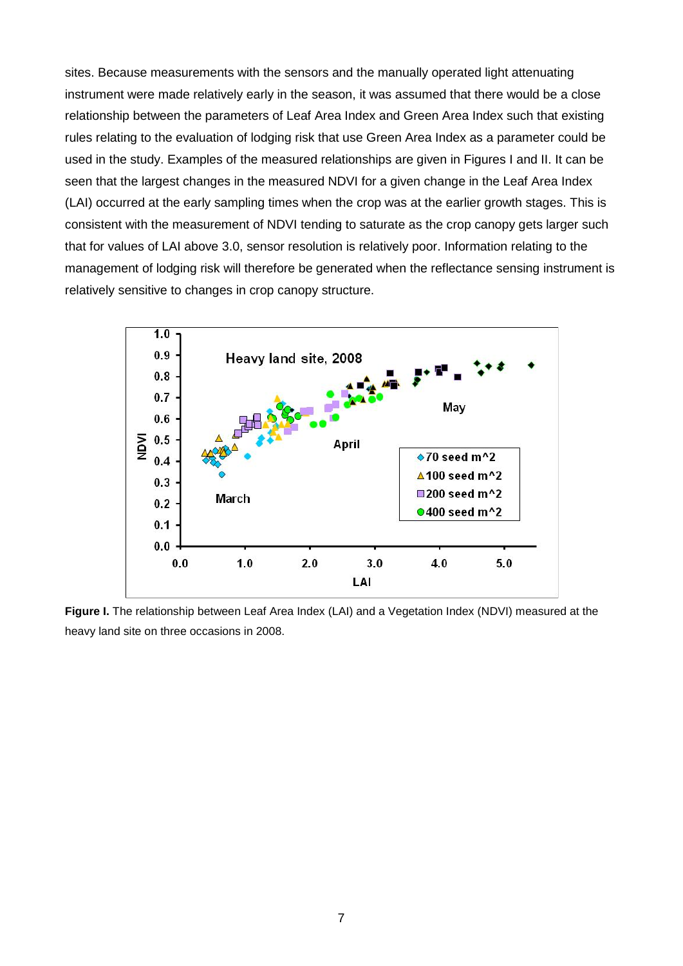sites. Because measurements with the sensors and the manually operated light attenuating instrument were made relatively early in the season, it was assumed that there would be a close relationship between the parameters of Leaf Area Index and Green Area Index such that existing rules relating to the evaluation of lodging risk that use Green Area Index as a parameter could be used in the study. Examples of the measured relationships are given in Figures I and II. It can be seen that the largest changes in the measured NDVI for a given change in the Leaf Area Index (LAI) occurred at the early sampling times when the crop was at the earlier growth stages. This is consistent with the measurement of NDVI tending to saturate as the crop canopy gets larger such that for values of LAI above 3.0, sensor resolution is relatively poor. Information relating to the management of lodging risk will therefore be generated when the reflectance sensing instrument is relatively sensitive to changes in crop canopy structure.



**Figure I.** The relationship between Leaf Area Index (LAI) and a Vegetation Index (NDVI) measured at the heavy land site on three occasions in 2008.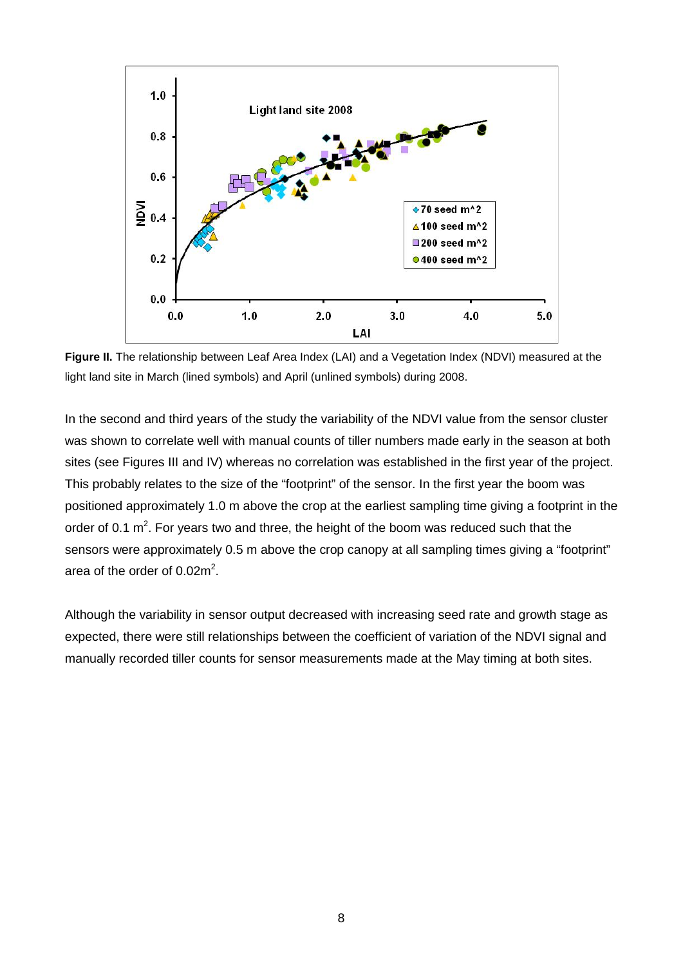

**Figure II.** The relationship between Leaf Area Index (LAI) and a Vegetation Index (NDVI) measured at the light land site in March (lined symbols) and April (unlined symbols) during 2008.

In the second and third years of the study the variability of the NDVI value from the sensor cluster was shown to correlate well with manual counts of tiller numbers made early in the season at both sites (see Figures III and IV) whereas no correlation was established in the first year of the project. This probably relates to the size of the "footprint" of the sensor. In the first year the boom was positioned approximately 1.0 m above the crop at the earliest sampling time giving a footprint in the order of 0.1  $m^2$ . For years two and three, the height of the boom was reduced such that the sensors were approximately 0.5 m above the crop canopy at all sampling times giving a "footprint" area of the order of  $0.02m^2$ .

Although the variability in sensor output decreased with increasing seed rate and growth stage as expected, there were still relationships between the coefficient of variation of the NDVI signal and manually recorded tiller counts for sensor measurements made at the May timing at both sites.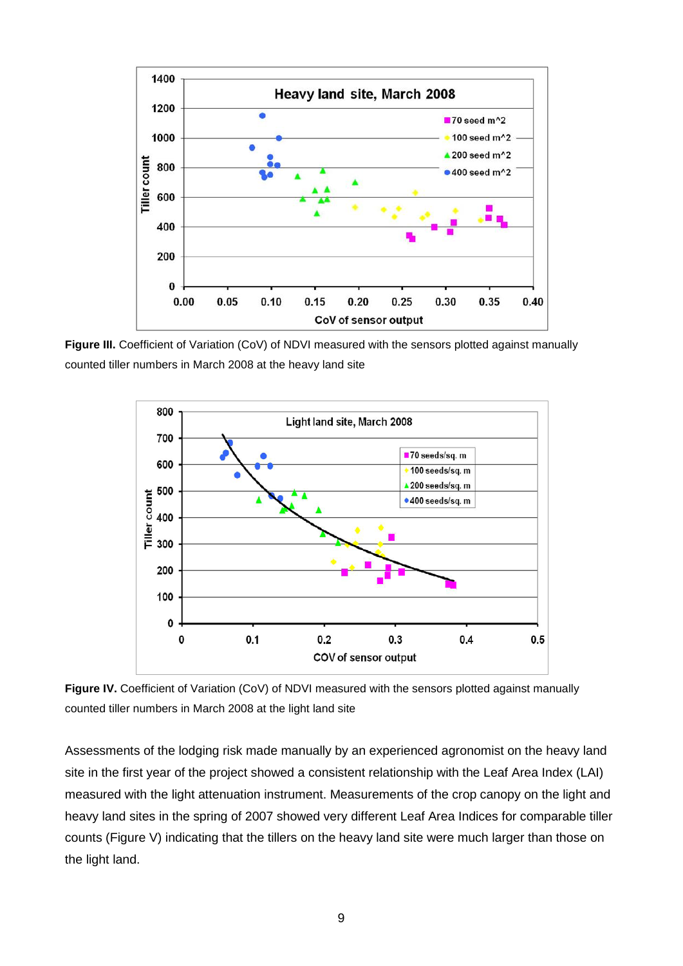

**Figure III.** Coefficient of Variation (CoV) of NDVI measured with the sensors plotted against manually counted tiller numbers in March 2008 at the heavy land site



Figure IV. Coefficient of Variation (CoV) of NDVI measured with the sensors plotted against manually counted tiller numbers in March 2008 at the light land site

Assessments of the lodging risk made manually by an experienced agronomist on the heavy land site in the first year of the project showed a consistent relationship with the Leaf Area Index (LAI) measured with the light attenuation instrument. Measurements of the crop canopy on the light and heavy land sites in the spring of 2007 showed very different Leaf Area Indices for comparable tiller counts (Figure V) indicating that the tillers on the heavy land site were much larger than those on the light land.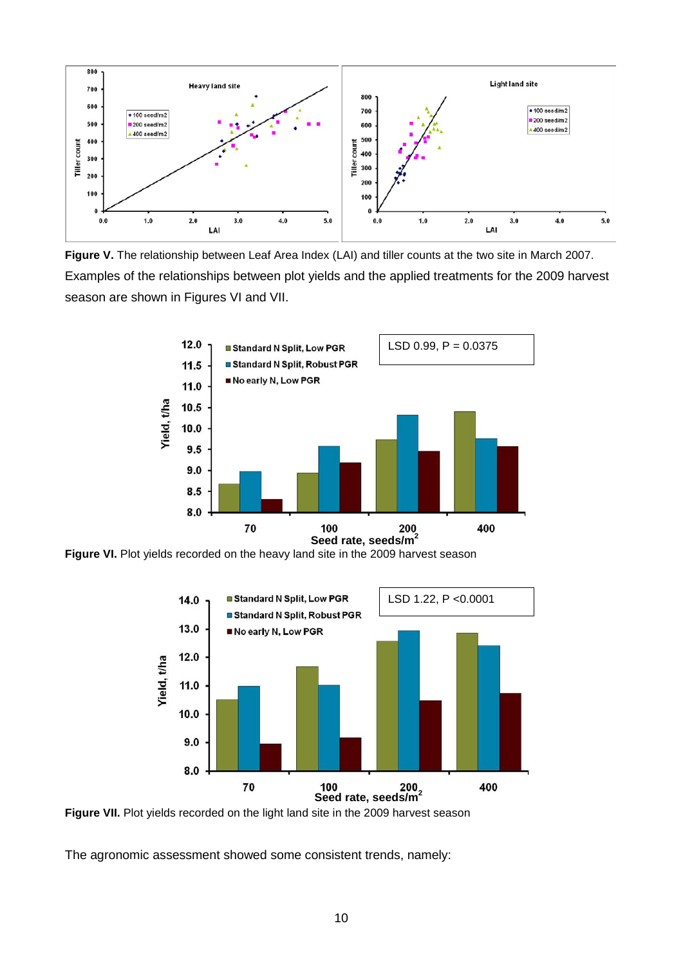

**Figure V.** The relationship between Leaf Area Index (LAI) and tiller counts at the two site in March 2007. Examples of the relationships between plot yields and the applied treatments for the 2009 harvest season are shown in Figures VI and VII.



**Figure VI.** Plot yields recorded on the heavy land site in the 2009 harvest season



**Figure VII.** Plot yields recorded on the light land site in the 2009 harvest season

The agronomic assessment showed some consistent trends, namely: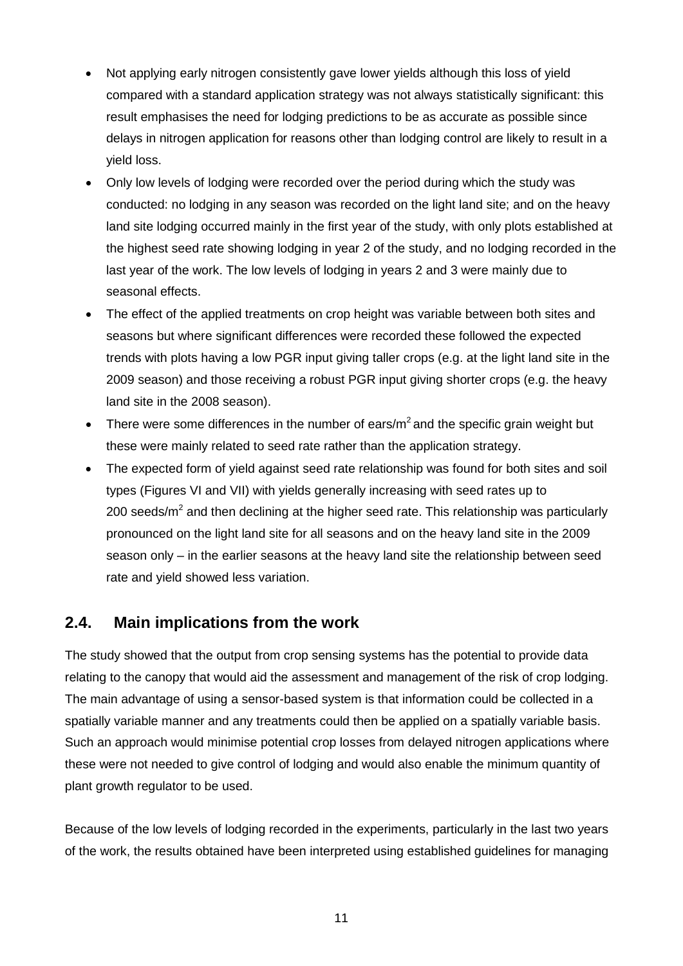- Not applying early nitrogen consistently gave lower yields although this loss of yield compared with a standard application strategy was not always statistically significant: this result emphasises the need for lodging predictions to be as accurate as possible since delays in nitrogen application for reasons other than lodging control are likely to result in a yield loss.
- Only low levels of lodging were recorded over the period during which the study was conducted: no lodging in any season was recorded on the light land site; and on the heavy land site lodging occurred mainly in the first year of the study, with only plots established at the highest seed rate showing lodging in year 2 of the study, and no lodging recorded in the last year of the work. The low levels of lodging in years 2 and 3 were mainly due to seasonal effects.
- The effect of the applied treatments on crop height was variable between both sites and seasons but where significant differences were recorded these followed the expected trends with plots having a low PGR input giving taller crops (e.g. at the light land site in the 2009 season) and those receiving a robust PGR input giving shorter crops (e.g. the heavy land site in the 2008 season).
- There were some differences in the number of ears/ $m^2$  and the specific grain weight but these were mainly related to seed rate rather than the application strategy.
- The expected form of yield against seed rate relationship was found for both sites and soil types (Figures VI and VII) with yields generally increasing with seed rates up to 200 seeds/ $m^2$  and then declining at the higher seed rate. This relationship was particularly pronounced on the light land site for all seasons and on the heavy land site in the 2009 season only – in the earlier seasons at the heavy land site the relationship between seed rate and yield showed less variation.

## **2.4. Main implications from the work**

The study showed that the output from crop sensing systems has the potential to provide data relating to the canopy that would aid the assessment and management of the risk of crop lodging. The main advantage of using a sensor-based system is that information could be collected in a spatially variable manner and any treatments could then be applied on a spatially variable basis. Such an approach would minimise potential crop losses from delayed nitrogen applications where these were not needed to give control of lodging and would also enable the minimum quantity of plant growth regulator to be used.

Because of the low levels of lodging recorded in the experiments, particularly in the last two years of the work, the results obtained have been interpreted using established guidelines for managing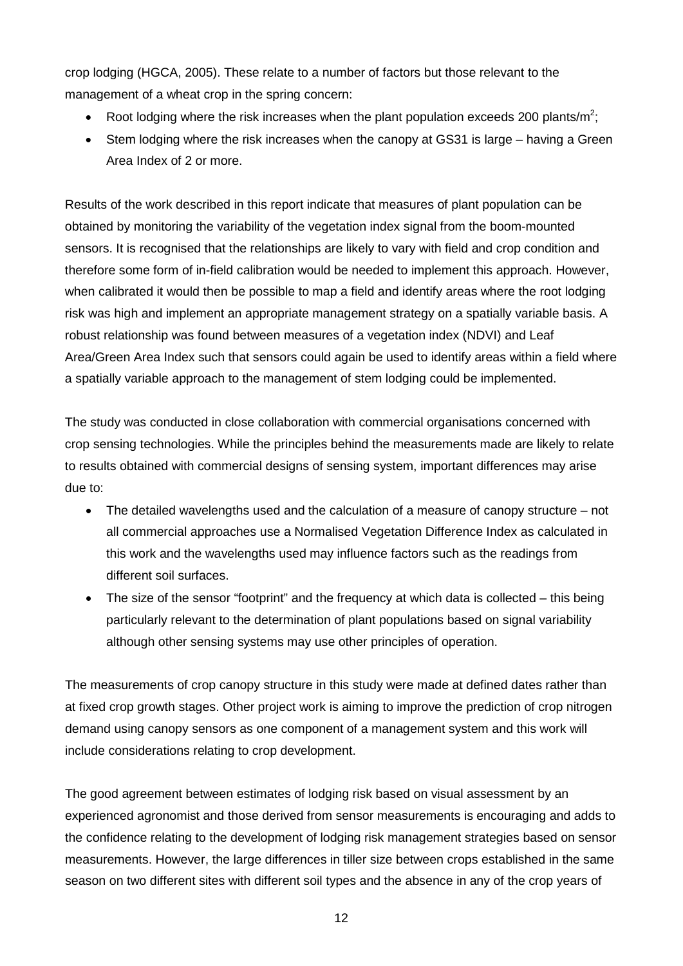crop lodging (HGCA, 2005). These relate to a number of factors but those relevant to the management of a wheat crop in the spring concern:

- Root lodging where the risk increases when the plant population exceeds 200 plants/m<sup>2</sup>;
- Stem lodging where the risk increases when the canopy at GS31 is large having a Green Area Index of 2 or more.

Results of the work described in this report indicate that measures of plant population can be obtained by monitoring the variability of the vegetation index signal from the boom-mounted sensors. It is recognised that the relationships are likely to vary with field and crop condition and therefore some form of in-field calibration would be needed to implement this approach. However, when calibrated it would then be possible to map a field and identify areas where the root lodging risk was high and implement an appropriate management strategy on a spatially variable basis. A robust relationship was found between measures of a vegetation index (NDVI) and Leaf Area/Green Area Index such that sensors could again be used to identify areas within a field where a spatially variable approach to the management of stem lodging could be implemented.

The study was conducted in close collaboration with commercial organisations concerned with crop sensing technologies. While the principles behind the measurements made are likely to relate to results obtained with commercial designs of sensing system, important differences may arise due to:

- The detailed wavelengths used and the calculation of a measure of canopy structure not all commercial approaches use a Normalised Vegetation Difference Index as calculated in this work and the wavelengths used may influence factors such as the readings from different soil surfaces.
- The size of the sensor "footprint" and the frequency at which data is collected this being particularly relevant to the determination of plant populations based on signal variability although other sensing systems may use other principles of operation.

The measurements of crop canopy structure in this study were made at defined dates rather than at fixed crop growth stages. Other project work is aiming to improve the prediction of crop nitrogen demand using canopy sensors as one component of a management system and this work will include considerations relating to crop development.

The good agreement between estimates of lodging risk based on visual assessment by an experienced agronomist and those derived from sensor measurements is encouraging and adds to the confidence relating to the development of lodging risk management strategies based on sensor measurements. However, the large differences in tiller size between crops established in the same season on two different sites with different soil types and the absence in any of the crop years of